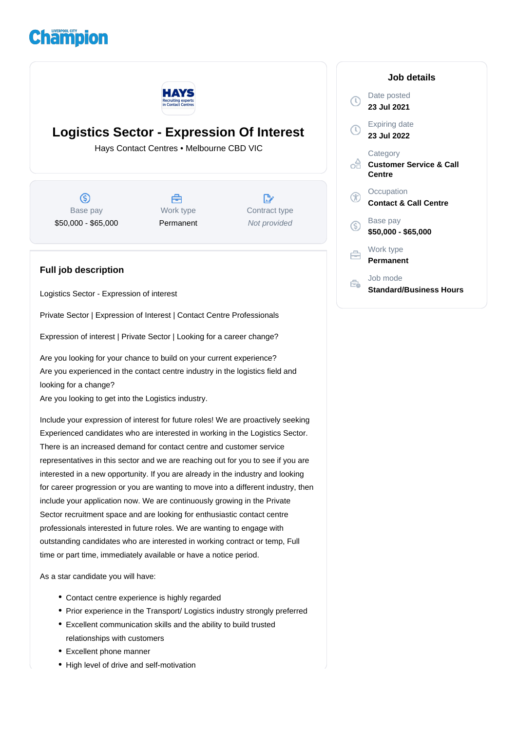## **Champion**



## **Logistics Sector - Expression Of Interest**

Hays Contact Centres • Melbourne CBD VIC

(\$) Base pay \$50,000 - \$65,000

Å Work type Permanent

 $\mathbb{R}^n$ Contract type Not provided

## **Full job description**

Logistics Sector - Expression of interest

Private Sector | Expression of Interest | Contact Centre Professionals

Expression of interest | Private Sector | Looking for a career change?

Are you looking for your chance to build on your current experience? Are you experienced in the contact centre industry in the logistics field and looking for a change?

Are you looking to get into the Logistics industry.

Include your expression of interest for future roles! We are proactively seeking Experienced candidates who are interested in working in the Logistics Sector. There is an increased demand for contact centre and customer service representatives in this sector and we are reaching out for you to see if you are interested in a new opportunity. If you are already in the industry and looking for career progression or you are wanting to move into a different industry, then include your application now. We are continuously growing in the Private Sector recruitment space and are looking for enthusiastic contact centre professionals interested in future roles. We are wanting to engage with outstanding candidates who are interested in working contract or temp, Full time or part time, immediately available or have a notice period.

As a star candidate you will have:

- Contact centre experience is highly regarded
- Prior experience in the Transport/ Logistics industry strongly preferred
- Excellent communication skills and the ability to build trusted relationships with customers
- Excellent phone manner
- High level of drive and self-motivation

**Job details** Date posted  $\circ$ **23 Jul 2021** Expiring date **23 Jul 2022 Category Customer Service & Call Centre Occupation** G **Contact & Call Centre** Base pay G) **\$50,000 - \$65,000** Work type Ħ **Permanent** Job mode Ê.

**Standard/Business Hours**